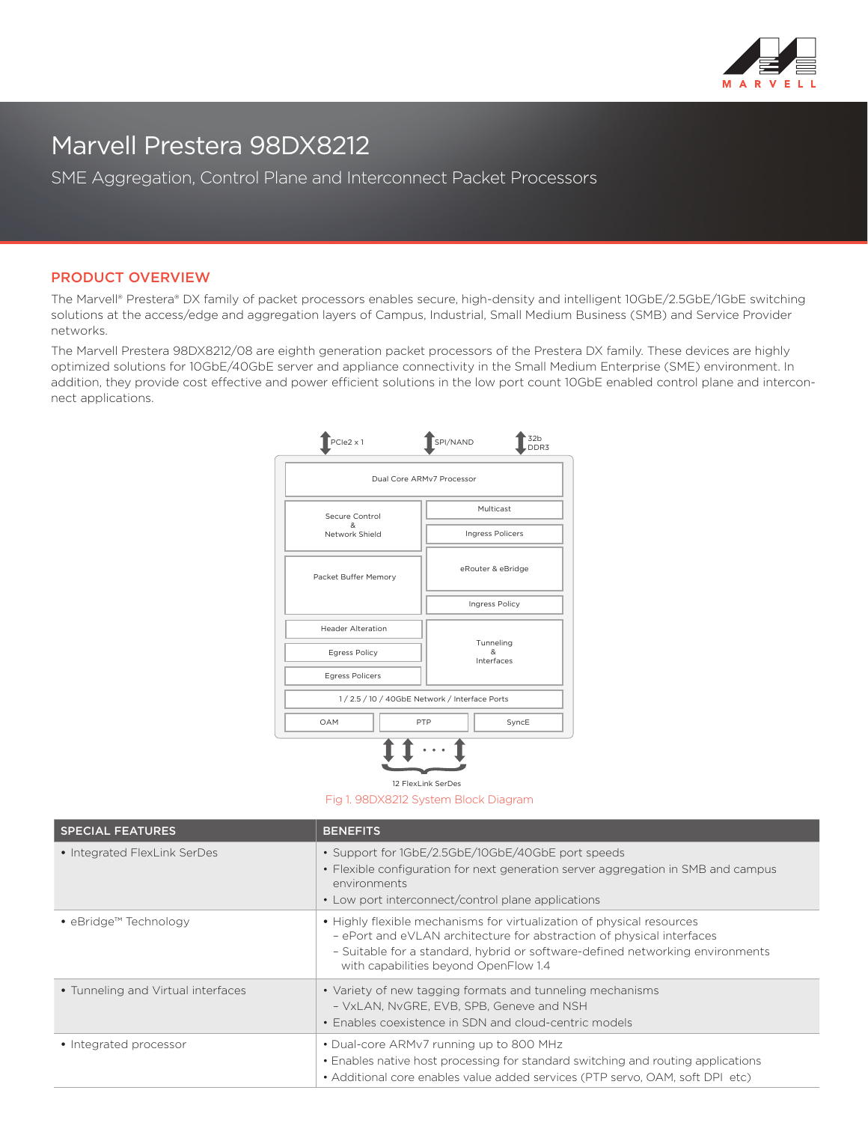

## Marvell Prestera 98DX8212

SME Aggregation, Control Plane and Interconnect Packet Processors

## PRODUCT OVERVIEW

The Marvell® Prestera® DX family of packet processors enables secure, high-density and intelligent 10GbE/2.5GbE/1GbE switching solutions at the access/edge and aggregation layers of Campus, Industrial, Small Medium Business (SMB) and Service Provider networks.

The Marvell Prestera 98DX8212/08 are eighth generation packet processors of the Prestera DX family. These devices are highly optimized solutions for 10GbE/40GbE server and appliance connectivity in the Small Medium Enterprise (SME) environment. In addition, they provide cost effective and power efficient solutions in the low port count 10GbE enabled control plane and interconnect applications.

| PCle2 x 1                                      | 32 <sub>b</sub><br>SPI/NAND<br>DDR3 |  |
|------------------------------------------------|-------------------------------------|--|
| Dual Core ARMv7 Processor                      |                                     |  |
| Secure Control<br>&<br>Network Shield          | Multicast                           |  |
|                                                | <b>Ingress Policers</b>             |  |
| Packet Buffer Memory                           | eRouter & eBridge                   |  |
|                                                | Ingress Policy                      |  |
| <b>Header Alteration</b>                       | Tunneling<br>&.<br>Interfaces       |  |
| <b>Egress Policy</b>                           |                                     |  |
| <b>Egress Policers</b>                         |                                     |  |
| 1 / 2.5 / 10 / 40GbE Network / Interface Ports |                                     |  |
| OAM<br>PTP                                     | SyncE                               |  |
|                                                |                                     |  |

12 FlexLink SerDes

Fig 1. 98DX8212 System Block Diagram

| <b>SPECIAL FEATURES</b>            | <b>BENEFITS</b>                                                                                                                                                                                                                                                          |
|------------------------------------|--------------------------------------------------------------------------------------------------------------------------------------------------------------------------------------------------------------------------------------------------------------------------|
| • Integrated FlexLink SerDes       | • Support for 1GbE/2.5GbE/10GbE/40GbE port speeds<br>• Flexible configuration for next generation server aggregation in SMB and campus<br>environments<br>• Low port interconnect/control plane applications                                                             |
| • eBridge™ Technology              | • Highly flexible mechanisms for virtualization of physical resources<br>- ePort and eVLAN architecture for abstraction of physical interfaces<br>- Suitable for a standard, hybrid or software-defined networking environments<br>with capabilities beyond OpenFlow 1.4 |
| • Tunneling and Virtual interfaces | • Variety of new tagging formats and tunneling mechanisms<br>- VxLAN, NvGRE, EVB, SPB, Geneve and NSH<br>• Enables coexistence in SDN and cloud-centric models                                                                                                           |
| • Integrated processor             | • Dual-core ARMv7 running up to 800 MHz<br>• Enables native host processing for standard switching and routing applications<br>• Additional core enables value added services (PTP servo, OAM, soft DPI etc)                                                             |